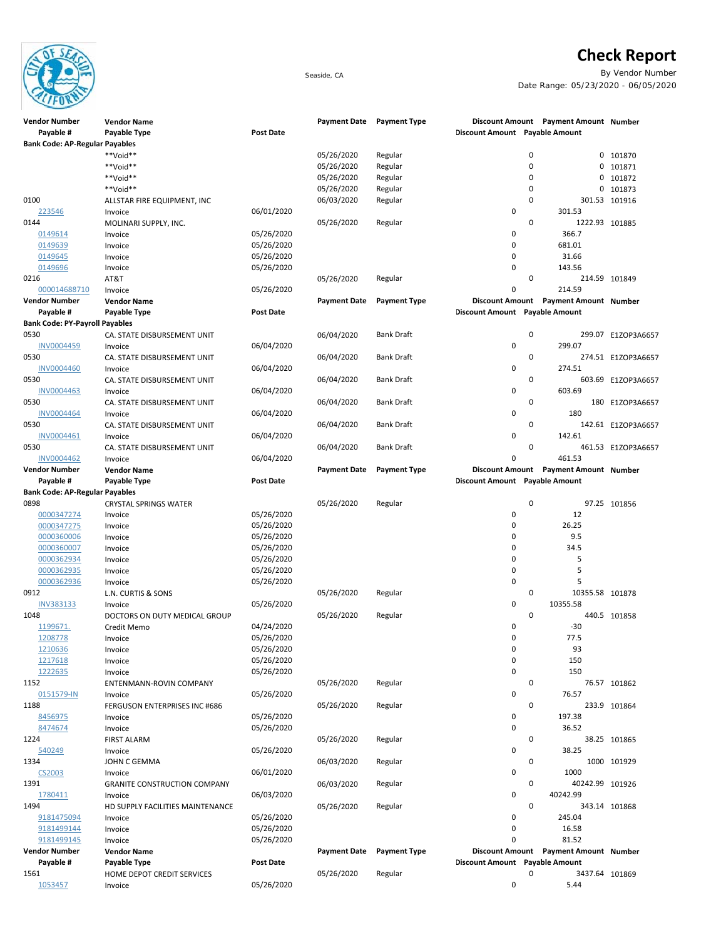

## **Check Report**

Seaside, CA By Vendor Number Date Range: 05/23/2020 - 06/05/2020

| <b>Vendor Number</b>                  | <b>Vendor Name</b>                   |                  | <b>Payment Date</b> | <b>Payment Type</b> |                                | Discount Amount Payment Amount Number |                    |
|---------------------------------------|--------------------------------------|------------------|---------------------|---------------------|--------------------------------|---------------------------------------|--------------------|
| Payable #                             | Payable Type                         | <b>Post Date</b> |                     |                     | Discount Amount Payable Amount |                                       |                    |
| <b>Bank Code: AP-Regular Payables</b> |                                      |                  |                     |                     |                                |                                       |                    |
|                                       | **Void**                             |                  | 05/26/2020          | Regular             |                                | 0                                     | 0 101870           |
|                                       | **Void**                             |                  | 05/26/2020          | Regular             |                                | 0<br>0                                | 101871             |
|                                       | **Void**                             |                  | 05/26/2020          | Regular             |                                | $\mathbf 0$<br>0                      | 101872             |
|                                       | **Void**                             |                  | 05/26/2020          | Regular             |                                | 0<br>0                                | 101873             |
| 0100                                  | ALLSTAR FIRE EQUIPMENT, INC          |                  | 06/03/2020          | Regular             |                                | $\mathbf 0$                           | 301.53 101916      |
| 223546                                | Invoice                              | 06/01/2020       |                     |                     | 0                              | 301.53                                |                    |
| 0144                                  | MOLINARI SUPPLY, INC.                |                  | 05/26/2020          | Regular             |                                | $\mathbf 0$<br>1222.93 101885         |                    |
| 0149614                               | Invoice                              | 05/26/2020       |                     |                     | 0                              | 366.7                                 |                    |
| 0149639                               | Invoice                              | 05/26/2020       |                     |                     | 0                              | 681.01                                |                    |
| 0149645                               | Invoice                              | 05/26/2020       |                     |                     | $\pmb{0}$                      | 31.66                                 |                    |
| 0149696                               | Invoice                              | 05/26/2020       |                     |                     | $\mathbf 0$                    | 143.56                                |                    |
| 0216                                  | AT&T                                 |                  | 05/26/2020          | Regular             |                                | $\mathbf 0$                           | 214.59 101849      |
| 000014688710                          | Invoice                              | 05/26/2020       |                     |                     | $\mathbf 0$                    | 214.59                                |                    |
| <b>Vendor Number</b>                  | <b>Vendor Name</b>                   |                  | <b>Payment Date</b> | <b>Payment Type</b> |                                | Discount Amount Payment Amount Number |                    |
| Payable #                             | Payable Type                         | <b>Post Date</b> |                     |                     | Discount Amount Payable Amount |                                       |                    |
| <b>Bank Code: PY-Payroll Payables</b> |                                      |                  |                     |                     |                                |                                       |                    |
| 0530                                  | CA. STATE DISBURSEMENT UNIT          |                  | 06/04/2020          | <b>Bank Draft</b>   |                                | 0                                     | 299.07 E1ZOP3A6657 |
| <b>INV0004459</b>                     |                                      | 06/04/2020       |                     |                     | $\mathbf 0$                    | 299.07                                |                    |
|                                       | Invoice                              |                  |                     |                     |                                |                                       |                    |
| 0530                                  | CA. STATE DISBURSEMENT UNIT          |                  | 06/04/2020          | <b>Bank Draft</b>   |                                | 0                                     | 274.51 E1ZOP3A6657 |
| <b>INV0004460</b>                     | Invoice                              | 06/04/2020       |                     |                     | $\mathbf 0$                    | 274.51                                |                    |
| 0530                                  | CA. STATE DISBURSEMENT UNIT          |                  | 06/04/2020          | <b>Bank Draft</b>   |                                | 0                                     | 603.69 E1ZOP3A6657 |
| <b>INV0004463</b>                     | Invoice                              | 06/04/2020       |                     |                     | 0                              | 603.69                                |                    |
| 0530                                  | CA. STATE DISBURSEMENT UNIT          |                  | 06/04/2020          | <b>Bank Draft</b>   |                                | 0                                     | 180 E1ZOP3A6657    |
| <b>INV0004464</b>                     | Invoice                              | 06/04/2020       |                     |                     | 0                              | 180                                   |                    |
| 0530                                  | CA. STATE DISBURSEMENT UNIT          |                  | 06/04/2020          | <b>Bank Draft</b>   |                                | $\mathbf 0$                           | 142.61 E1ZOP3A6657 |
| INV0004461                            | Invoice                              | 06/04/2020       |                     |                     | 0                              | 142.61                                |                    |
| 0530                                  | CA. STATE DISBURSEMENT UNIT          |                  | 06/04/2020          | <b>Bank Draft</b>   |                                | 0                                     | 461.53 E1ZOP3A6657 |
| <b>INV0004462</b>                     | Invoice                              | 06/04/2020       |                     |                     | $\mathbf 0$                    | 461.53                                |                    |
| <b>Vendor Number</b>                  | <b>Vendor Name</b>                   |                  | <b>Payment Date</b> | <b>Payment Type</b> |                                | Discount Amount Payment Amount Number |                    |
| Payable #                             | Payable Type                         | Post Date        |                     |                     | Discount Amount Payable Amount |                                       |                    |
| <b>Bank Code: AP-Regular Payables</b> |                                      |                  |                     |                     |                                |                                       |                    |
| 0898                                  | <b>CRYSTAL SPRINGS WATER</b>         |                  | 05/26/2020          | Regular             |                                | $\mathbf 0$                           | 97.25 101856       |
| 0000347274                            | Invoice                              | 05/26/2020       |                     |                     | 0                              | 12                                    |                    |
| 0000347275                            | Invoice                              | 05/26/2020       |                     |                     | $\mathbf 0$                    | 26.25                                 |                    |
| 0000360006                            | Invoice                              | 05/26/2020       |                     |                     | 0                              | 9.5                                   |                    |
| 0000360007                            | Invoice                              | 05/26/2020       |                     |                     | 0                              | 34.5                                  |                    |
| 0000362934                            | Invoice                              | 05/26/2020       |                     |                     | $\mathbf 0$                    | 5                                     |                    |
| 0000362935                            | Invoice                              | 05/26/2020       |                     |                     | 0                              | 5                                     |                    |
| 0000362936                            | Invoice                              | 05/26/2020       |                     |                     | 0                              | 5                                     |                    |
| 0912                                  | L.N. CURTIS & SONS                   |                  | 05/26/2020          | Regular             |                                | 0<br>10355.58 101878                  |                    |
| <b>INV383133</b>                      | Invoice                              | 05/26/2020       |                     |                     | 0                              | 10355.58                              |                    |
| 1048                                  | DOCTORS ON DUTY MEDICAL GROUP        |                  | 05/26/2020          | Regular             |                                | 0                                     | 440.5 101858       |
| 1199671.                              | Credit Memo                          | 04/24/2020       |                     |                     | 0                              | $-30$                                 |                    |
| 1208778                               | Invoice                              | 05/26/2020       |                     |                     | $\mathbf 0$                    | 77.5                                  |                    |
| 1210636                               | Invoice                              | 05/26/2020       |                     |                     | U                              | 93                                    |                    |
| 1217618                               | Invoice                              | 05/26/2020       |                     |                     | 0                              | 150                                   |                    |
| 1222635                               | Invoice                              | 05/26/2020       |                     |                     | 0                              | 150                                   |                    |
| 1152                                  | ENTENMANN-ROVIN COMPANY              |                  | 05/26/2020          | Regular             |                                | 0                                     | 76.57 101862       |
| 0151579-IN                            |                                      | 05/26/2020       |                     |                     | 0                              | 76.57                                 |                    |
| 1188                                  | Invoice                              |                  |                     |                     |                                | $\mathbf 0$                           |                    |
|                                       | <b>FERGUSON ENTERPRISES INC #686</b> |                  | 05/26/2020          | Regular             |                                |                                       | 233.9 101864       |
| 8456975                               | Invoice                              | 05/26/2020       |                     |                     | 0                              | 197.38                                |                    |
| 8474674                               | Invoice                              | 05/26/2020       |                     |                     | 0                              | 36.52                                 |                    |
| 1224                                  | <b>FIRST ALARM</b>                   |                  | 05/26/2020          | Regular             |                                | 0                                     | 38.25 101865       |
| 540249                                | Invoice                              | 05/26/2020       |                     |                     | 0                              | 38.25                                 |                    |
| 1334                                  | JOHN C GEMMA                         |                  | 06/03/2020          | Regular             |                                | 0                                     | 1000 101929        |
| CS2003                                | Invoice                              | 06/01/2020       |                     |                     | 0                              | 1000                                  |                    |
| 1391                                  | <b>GRANITE CONSTRUCTION COMPANY</b>  |                  | 06/03/2020          | Regular             |                                | 0<br>40242.99 101926                  |                    |
| 1780411                               | Invoice                              | 06/03/2020       |                     |                     | 0                              | 40242.99                              |                    |
| 1494                                  | HD SUPPLY FACILITIES MAINTENANCE     |                  | 05/26/2020          | Regular             |                                | 0                                     | 343.14 101868      |
| 9181475094                            | Invoice                              | 05/26/2020       |                     |                     | 0                              | 245.04                                |                    |
| 9181499144                            | Invoice                              | 05/26/2020       |                     |                     | 0                              | 16.58                                 |                    |
| 9181499145                            | Invoice                              | 05/26/2020       |                     |                     | $\mathbf 0$                    | 81.52                                 |                    |
| <b>Vendor Number</b>                  | <b>Vendor Name</b>                   |                  | <b>Payment Date</b> | <b>Payment Type</b> |                                | Discount Amount Payment Amount Number |                    |
| Payable #                             | Payable Type                         | Post Date        |                     |                     | Discount Amount Payable Amount |                                       |                    |
| 1561                                  | HOME DEPOT CREDIT SERVICES           |                  | 05/26/2020          | Regular             |                                | 0<br>3437.64 101869                   |                    |
| 1053457                               | Invoice                              | 05/26/2020       |                     |                     | 0                              | 5.44                                  |                    |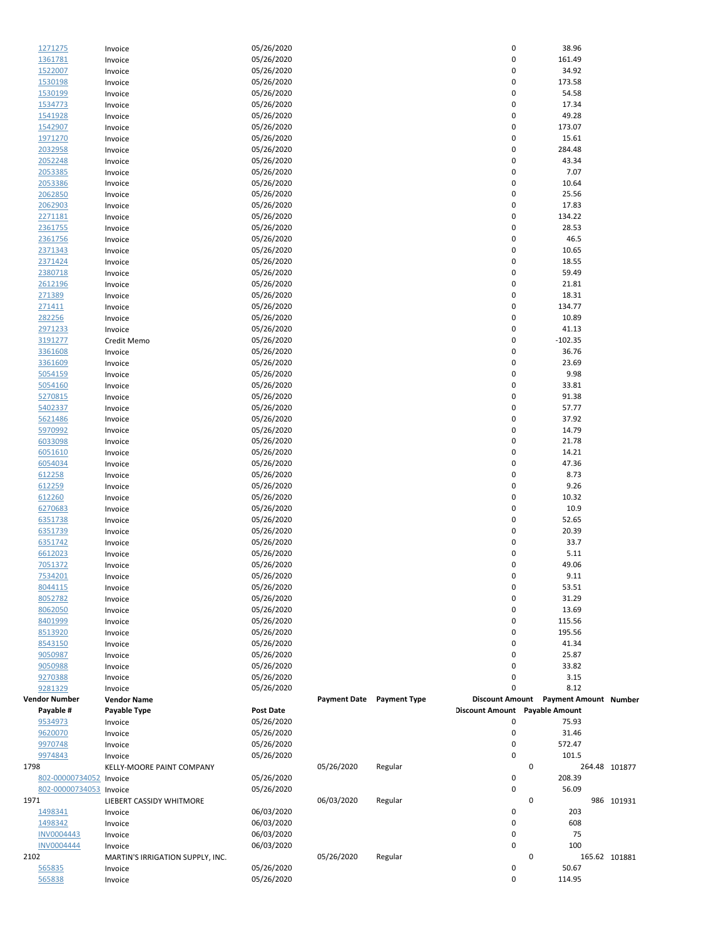| 1271275                  | Invoice                          | 05/26/2020               |            |                           | 0                              | 38.96                                 |               |
|--------------------------|----------------------------------|--------------------------|------------|---------------------------|--------------------------------|---------------------------------------|---------------|
| 1361781                  | Invoice                          | 05/26/2020               |            |                           | 0                              | 161.49                                |               |
| 1522007                  |                                  | 05/26/2020               |            |                           | 0                              | 34.92                                 |               |
|                          | Invoice                          |                          |            |                           |                                |                                       |               |
| 1530198                  | Invoice                          | 05/26/2020               |            |                           | 0                              | 173.58                                |               |
| 1530199                  | Invoice                          | 05/26/2020               |            |                           | 0                              | 54.58                                 |               |
| 1534773                  | Invoice                          | 05/26/2020               |            |                           | 0                              | 17.34                                 |               |
| 1541928                  | Invoice                          | 05/26/2020               |            |                           | 0                              | 49.28                                 |               |
| 1542907                  | Invoice                          | 05/26/2020               |            |                           | 0                              | 173.07                                |               |
| 1971270                  | Invoice                          | 05/26/2020               |            |                           | 0                              | 15.61                                 |               |
| 2032958                  | Invoice                          | 05/26/2020               |            |                           | 0                              | 284.48                                |               |
| 2052248                  | Invoice                          | 05/26/2020               |            |                           | 0                              | 43.34                                 |               |
| 2053385                  | Invoice                          | 05/26/2020               |            |                           | 0                              | 7.07                                  |               |
|                          |                                  |                          |            |                           | 0                              | 10.64                                 |               |
| 2053386                  | Invoice                          | 05/26/2020               |            |                           |                                |                                       |               |
| 2062850                  | Invoice                          | 05/26/2020               |            |                           | 0                              | 25.56                                 |               |
| 2062903                  | Invoice                          | 05/26/2020               |            |                           | 0                              | 17.83                                 |               |
| 2271181                  | Invoice                          | 05/26/2020               |            |                           | 0                              | 134.22                                |               |
| 2361755                  | Invoice                          | 05/26/2020               |            |                           | 0                              | 28.53                                 |               |
| 2361756                  | Invoice                          | 05/26/2020               |            |                           | 0                              | 46.5                                  |               |
| 2371343                  | Invoice                          | 05/26/2020               |            |                           | 0                              | 10.65                                 |               |
| 2371424                  | Invoice                          | 05/26/2020               |            |                           | 0                              | 18.55                                 |               |
| 2380718                  | Invoice                          | 05/26/2020               |            |                           | 0                              | 59.49                                 |               |
| 2612196                  |                                  | 05/26/2020               |            |                           | 0                              | 21.81                                 |               |
|                          | Invoice                          |                          |            |                           |                                |                                       |               |
| 271389                   | Invoice                          | 05/26/2020               |            |                           | 0                              | 18.31                                 |               |
| 271411                   | Invoice                          | 05/26/2020               |            |                           | 0                              | 134.77                                |               |
| 282256                   | Invoice                          | 05/26/2020               |            |                           | 0                              | 10.89                                 |               |
| 2971233                  | Invoice                          | 05/26/2020               |            |                           | 0                              | 41.13                                 |               |
| 3191277                  | Credit Memo                      | 05/26/2020               |            |                           | 0                              | $-102.35$                             |               |
| 3361608                  | Invoice                          | 05/26/2020               |            |                           | 0                              | 36.76                                 |               |
| 3361609                  | Invoice                          | 05/26/2020               |            |                           | 0                              | 23.69                                 |               |
| 5054159                  | Invoice                          | 05/26/2020               |            |                           | 0                              | 9.98                                  |               |
| 5054160                  | Invoice                          | 05/26/2020               |            |                           | 0                              | 33.81                                 |               |
| 5270815                  |                                  | 05/26/2020               |            |                           | 0                              | 91.38                                 |               |
|                          | Invoice                          |                          |            |                           |                                |                                       |               |
| 5402337                  | Invoice                          | 05/26/2020               |            |                           | 0                              | 57.77                                 |               |
| 5621486                  | Invoice                          | 05/26/2020               |            |                           | 0                              | 37.92                                 |               |
| 5970992                  | Invoice                          | 05/26/2020               |            |                           | 0                              | 14.79                                 |               |
| 6033098                  | Invoice                          | 05/26/2020               |            |                           | 0                              | 21.78                                 |               |
| 6051610                  | Invoice                          | 05/26/2020               |            |                           | 0                              | 14.21                                 |               |
| 6054034                  | Invoice                          | 05/26/2020               |            |                           | 0                              | 47.36                                 |               |
| 612258                   | Invoice                          | 05/26/2020               |            |                           | 0                              | 8.73                                  |               |
| 612259                   | Invoice                          | 05/26/2020               |            |                           | 0                              | 9.26                                  |               |
| 612260                   |                                  | 05/26/2020               |            |                           | 0                              | 10.32                                 |               |
|                          | Invoice                          |                          |            |                           |                                |                                       |               |
| 6270683                  | Invoice                          | 05/26/2020               |            |                           | 0                              | 10.9                                  |               |
| 6351738                  | Invoice                          | 05/26/2020               |            |                           | 0                              | 52.65                                 |               |
| 6351739                  | Invoice                          | 05/26/2020               |            |                           | 0                              | 20.39                                 |               |
| 6351742                  | Invoice                          | 05/26/2020               |            |                           | 0                              | 33.7                                  |               |
| 6612023                  | Invoice                          | 05/26/2020               |            |                           | 0                              | 5.11                                  |               |
| 7051372                  | Invoice                          | 05/26/2020               |            |                           | 0                              | 49.06                                 |               |
| <u>7534201</u>           | Invoice                          | 05/26/2020               |            |                           | 0                              | 9.11                                  |               |
| 8044115                  | Invoice                          | 05/26/2020               |            |                           | 0                              | 53.51                                 |               |
| 8052782                  | Invoice                          | 05/26/2020               |            |                           | 0                              | 31.29                                 |               |
| 8062050                  |                                  | 05/26/2020               |            |                           | 0                              | 13.69                                 |               |
|                          | Invoice                          |                          |            |                           |                                |                                       |               |
| 8401999                  | Invoice                          | 05/26/2020               |            |                           | 0                              | 115.56                                |               |
| 8513920                  | Invoice                          | 05/26/2020               |            |                           | 0                              | 195.56                                |               |
| 8543150                  | Invoice                          | 05/26/2020               |            |                           | 0                              | 41.34                                 |               |
| 9050987                  | Invoice                          | 05/26/2020               |            |                           | 0                              | 25.87                                 |               |
| 9050988                  | Invoice                          | 05/26/2020               |            |                           | 0                              | 33.82                                 |               |
| 9270388                  | Invoice                          | 05/26/2020               |            |                           | 0                              | 3.15                                  |               |
| 9281329                  | Invoice                          | 05/26/2020               |            |                           | 0                              | 8.12                                  |               |
| Vendor Number            | <b>Vendor Name</b>               |                          |            | Payment Date Payment Type |                                | Discount Amount Payment Amount Number |               |
| Payable #                |                                  |                          |            |                           |                                |                                       |               |
| 9534973                  |                                  |                          |            |                           |                                |                                       |               |
|                          | Payable Type                     | <b>Post Date</b>         |            |                           | Discount Amount Payable Amount |                                       |               |
|                          | Invoice                          | 05/26/2020               |            |                           | 0                              | 75.93                                 |               |
| 9620070                  | Invoice                          | 05/26/2020               |            |                           | 0                              | 31.46                                 |               |
| 9970748                  | Invoice                          | 05/26/2020               |            |                           | 0                              | 572.47                                |               |
| 9974843                  | Invoice                          | 05/26/2020               |            |                           | 0                              | 101.5                                 |               |
| 1798                     | KELLY-MOORE PAINT COMPANY        |                          | 05/26/2020 | Regular                   | 0                              |                                       | 264.48 101877 |
| 802-00000734052 Invoice  |                                  | 05/26/2020               |            |                           | 0                              | 208.39                                |               |
| 802-00000734053 Invoice  |                                  | 05/26/2020               |            |                           | 0                              | 56.09                                 |               |
|                          |                                  |                          | 06/03/2020 |                           | 0                              |                                       |               |
| 1971                     | LIEBERT CASSIDY WHITMORE         |                          |            | Regular                   |                                |                                       | 986 101931    |
| 1498341                  | Invoice                          | 06/03/2020               |            |                           | 0                              | 203                                   |               |
| 1498342                  | Invoice                          | 06/03/2020               |            |                           | 0                              | 608                                   |               |
| <b>INV0004443</b>        | Invoice                          | 06/03/2020               |            |                           | 0                              | 75                                    |               |
| <b>INV0004444</b>        | Invoice                          | 06/03/2020               |            |                           | 0                              | 100                                   |               |
|                          | MARTIN'S IRRIGATION SUPPLY, INC. |                          | 05/26/2020 | Regular                   |                                | 0                                     | 165.62 101881 |
| 2102<br>565835<br>565838 | Invoice<br>Invoice               | 05/26/2020<br>05/26/2020 |            |                           | 0<br>0                         | 50.67<br>114.95                       |               |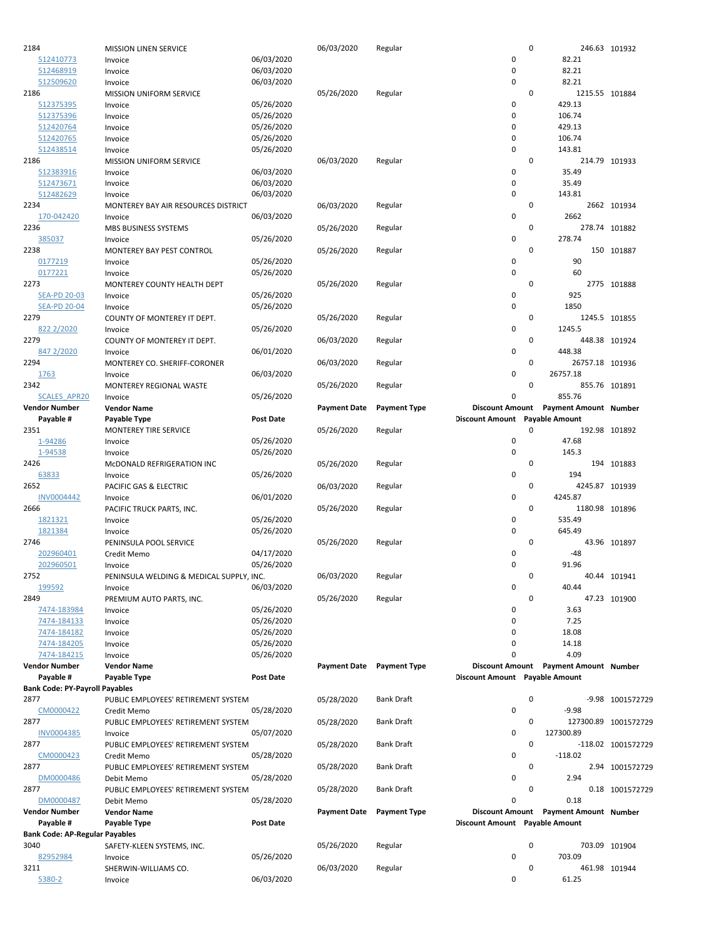| 2184                                  | MISSION LINEN SERVICE                          |                  | 06/03/2020                | Regular             |                                | 0 | 246.63 101932                         |                      |
|---------------------------------------|------------------------------------------------|------------------|---------------------------|---------------------|--------------------------------|---|---------------------------------------|----------------------|
| 512410773                             | Invoice                                        | 06/03/2020       |                           |                     | 0                              |   | 82.21                                 |                      |
| 512468919                             | Invoice                                        | 06/03/2020       |                           |                     | 0                              |   | 82.21                                 |                      |
| 512509620                             | Invoice                                        | 06/03/2020       |                           |                     | 0                              |   | 82.21                                 |                      |
| 2186                                  | <b>MISSION UNIFORM SERVICE</b>                 |                  | 05/26/2020                | Regular             |                                | 0 | 1215.55 101884                        |                      |
| 512375395                             | Invoice                                        | 05/26/2020       |                           |                     | 0                              |   | 429.13                                |                      |
| 512375396                             | Invoice                                        | 05/26/2020       |                           |                     | 0                              |   | 106.74                                |                      |
| 512420764                             | Invoice                                        | 05/26/2020       |                           |                     | 0                              |   | 429.13                                |                      |
| 512420765                             | Invoice                                        | 05/26/2020       |                           |                     | 0                              |   | 106.74                                |                      |
| 512438514                             | Invoice                                        | 05/26/2020       |                           |                     | 0                              |   | 143.81                                |                      |
| 2186                                  | <b>MISSION UNIFORM SERVICE</b>                 |                  | 06/03/2020                | Regular             |                                | 0 | 214.79 101933                         |                      |
| 512383916                             | Invoice                                        | 06/03/2020       |                           |                     | 0                              |   | 35.49                                 |                      |
| 512473671                             | Invoice                                        | 06/03/2020       |                           |                     | 0                              |   | 35.49                                 |                      |
| 512482629                             |                                                | 06/03/2020       |                           |                     | 0                              |   | 143.81                                |                      |
| 2234                                  | Invoice<br>MONTEREY BAY AIR RESOURCES DISTRICT |                  |                           |                     |                                | 0 |                                       |                      |
|                                       |                                                |                  | 06/03/2020                | Regular             |                                |   |                                       | 2662 101934          |
| 170-042420                            | Invoice                                        | 06/03/2020       |                           |                     | 0                              |   | 2662                                  |                      |
| 2236                                  | MBS BUSINESS SYSTEMS                           |                  | 05/26/2020                | Regular             |                                | 0 | 278.74 101882                         |                      |
| 385037                                | Invoice                                        | 05/26/2020       |                           |                     | 0                              |   | 278.74                                |                      |
| 2238                                  | MONTEREY BAY PEST CONTROL                      |                  | 05/26/2020                | Regular             |                                | 0 |                                       | 150 101887           |
| 0177219                               | Invoice                                        | 05/26/2020       |                           |                     | 0                              |   | 90                                    |                      |
| 0177221                               | Invoice                                        | 05/26/2020       |                           |                     | 0                              |   | 60                                    |                      |
| 2273                                  | MONTEREY COUNTY HEALTH DEPT                    |                  | 05/26/2020                | Regular             |                                | 0 |                                       | 2775 101888          |
| <b>SEA-PD 20-03</b>                   | Invoice                                        | 05/26/2020       |                           |                     | 0                              |   | 925                                   |                      |
| <b>SEA-PD 20-04</b>                   | Invoice                                        | 05/26/2020       |                           |                     | 0                              |   | 1850                                  |                      |
| 2279                                  | COUNTY OF MONTEREY IT DEPT.                    |                  | 05/26/2020                | Regular             |                                | 0 | 1245.5 101855                         |                      |
| 822 2/2020                            | Invoice                                        | 05/26/2020       |                           |                     | 0                              |   | 1245.5                                |                      |
| 2279                                  | COUNTY OF MONTEREY IT DEPT.                    |                  | 06/03/2020                | Regular             |                                | 0 | 448.38 101924                         |                      |
| 847 2/2020                            | Invoice                                        | 06/01/2020       |                           |                     | 0                              |   | 448.38                                |                      |
| 2294                                  | MONTEREY CO. SHERIFF-CORONER                   |                  | 06/03/2020                | Regular             |                                | 0 | 26757.18 101936                       |                      |
| 1763                                  | Invoice                                        | 06/03/2020       |                           |                     | 0                              |   | 26757.18                              |                      |
| 2342                                  | MONTEREY REGIONAL WASTE                        |                  | 05/26/2020                | Regular             |                                | 0 | 855.76 101891                         |                      |
| <b>SCALES APR20</b>                   | Invoice                                        | 05/26/2020       |                           |                     | 0                              |   | 855.76                                |                      |
| <b>Vendor Number</b>                  | <b>Vendor Name</b>                             |                  | <b>Payment Date</b>       | <b>Payment Type</b> | <b>Discount Amount</b>         |   | <b>Payment Amount Number</b>          |                      |
| Payable #                             | Payable Type                                   | <b>Post Date</b> |                           |                     | Discount Amount Payable Amount |   |                                       |                      |
| 2351                                  |                                                |                  | 05/26/2020                | Regular             |                                | 0 | 192.98 101892                         |                      |
|                                       | MONTEREY TIRE SERVICE                          |                  |                           |                     | 0                              |   |                                       |                      |
| 1-94286                               | Invoice                                        | 05/26/2020       |                           |                     | 0                              |   | 47.68                                 |                      |
| 1-94538<br>2426                       | Invoice                                        | 05/26/2020       |                           |                     |                                | 0 | 145.3                                 |                      |
|                                       | McDONALD REFRIGERATION INC                     |                  |                           | Regular             |                                |   |                                       | 194 101883           |
|                                       |                                                |                  | 05/26/2020                |                     |                                |   |                                       |                      |
| 63833                                 | Invoice                                        | 05/26/2020       |                           |                     | 0                              |   | 194                                   |                      |
| 2652                                  | PACIFIC GAS & ELECTRIC                         |                  | 06/03/2020                | Regular             |                                | 0 | 4245.87 101939                        |                      |
| <b>INV0004442</b>                     | Invoice                                        | 06/01/2020       |                           |                     | 0                              |   | 4245.87                               |                      |
| 2666                                  | PACIFIC TRUCK PARTS, INC.                      |                  | 05/26/2020                | Regular             |                                | 0 | 1180.98 101896                        |                      |
| 1821321                               | Invoice                                        | 05/26/2020       |                           |                     | 0                              |   | 535.49                                |                      |
| 1821384                               | Invoice                                        | 05/26/2020       |                           |                     | 0                              |   | 645.49                                |                      |
| 2746                                  | PENINSULA POOL SERVICE                         |                  | 05/26/2020                | Regular             |                                | 0 |                                       | 43.96 101897         |
| 202960401                             | Credit Memo                                    | 04/17/2020       |                           |                     | 0                              |   | -48                                   |                      |
| 202960501                             | Invoice                                        | 05/26/2020       |                           |                     | 0                              |   | 91.96                                 |                      |
| 2752                                  |                                                |                  | 06/03/2020                |                     |                                | 0 |                                       | 40.44 101941         |
|                                       | PENINSULA WELDING & MEDICAL SUPPLY, INC.       |                  |                           | Regular             | 0                              |   | 40.44                                 |                      |
| 199592                                | Invoice                                        | 06/03/2020       |                           |                     |                                | 0 |                                       |                      |
| 2849                                  | PREMIUM AUTO PARTS, INC.                       |                  | 05/26/2020                | Regular             |                                |   |                                       | 47.23 101900         |
| 7474-183984                           | Invoice                                        | 05/26/2020       |                           |                     | 0                              |   | 3.63                                  |                      |
| 7474-184133                           | Invoice                                        | 05/26/2020       |                           |                     | 0                              |   | 7.25                                  |                      |
| 7474-184182                           | Invoice                                        | 05/26/2020       |                           |                     | 0                              |   | 18.08                                 |                      |
| 7474-184205                           | Invoice                                        | 05/26/2020       |                           |                     | 0                              |   | 14.18                                 |                      |
| 7474-184215                           | Invoice                                        | 05/26/2020       |                           |                     | 0                              |   | 4.09                                  |                      |
| <b>Vendor Number</b>                  | <b>Vendor Name</b>                             |                  | Payment Date Payment Type |                     |                                |   | Discount Amount Payment Amount Number |                      |
| Payable #                             | Payable Type                                   | Post Date        |                           |                     | Discount Amount Payable Amount |   |                                       |                      |
| <b>Bank Code: PY-Payroll Payables</b> |                                                |                  |                           |                     |                                |   |                                       |                      |
| 2877                                  | PUBLIC EMPLOYEES' RETIREMENT SYSTEM            |                  | 05/28/2020                | <b>Bank Draft</b>   |                                | 0 |                                       | -9.98 1001572729     |
| CM0000422                             | Credit Memo                                    | 05/28/2020       |                           |                     | 0                              |   | $-9.98$                               |                      |
| 2877                                  | PUBLIC EMPLOYEES' RETIREMENT SYSTEM            |                  | 05/28/2020                | <b>Bank Draft</b>   |                                | 0 |                                       | 127300.89 1001572729 |
| <b>INV0004385</b>                     | Invoice                                        | 05/07/2020       |                           |                     | 0                              |   | 127300.89                             |                      |
| 2877                                  | PUBLIC EMPLOYEES' RETIREMENT SYSTEM            |                  | 05/28/2020                | Bank Draft          |                                | 0 |                                       | -118.02 1001572729   |
| CM0000423                             | Credit Memo                                    | 05/28/2020       |                           |                     | 0                              |   | $-118.02$                             |                      |
| 2877                                  | PUBLIC EMPLOYEES' RETIREMENT SYSTEM            |                  | 05/28/2020                | Bank Draft          |                                | 0 |                                       | 2.94 1001572729      |
| DM0000486                             | Debit Memo                                     | 05/28/2020       |                           |                     | 0                              |   | 2.94                                  |                      |
| 2877                                  | PUBLIC EMPLOYEES' RETIREMENT SYSTEM            |                  | 05/28/2020                | Bank Draft          |                                | 0 |                                       | 0.18 1001572729      |
| DM0000487                             | Debit Memo                                     | 05/28/2020       |                           |                     | 0                              |   | 0.18                                  |                      |
| <b>Vendor Number</b>                  | <b>Vendor Name</b>                             |                  | <b>Payment Date</b>       | <b>Payment Type</b> |                                |   | Discount Amount Payment Amount Number |                      |
| Payable #                             | Payable Type                                   | Post Date        |                           |                     | Discount Amount Payable Amount |   |                                       |                      |
|                                       |                                                |                  |                           |                     |                                |   |                                       |                      |
| <b>Bank Code: AP-Regular Payables</b> |                                                |                  |                           |                     |                                | 0 |                                       |                      |
| 3040                                  | SAFETY-KLEEN SYSTEMS, INC.                     |                  | 05/26/2020                | Regular             |                                |   | 703.09 101904                         |                      |
| 82952984                              | Invoice                                        | 05/26/2020       |                           |                     | 0                              |   | 703.09                                |                      |
| 3211<br>5380-2                        | SHERWIN-WILLIAMS CO.<br>Invoice                | 06/03/2020       | 06/03/2020                | Regular             | 0                              | 0 | 461.98 101944<br>61.25                |                      |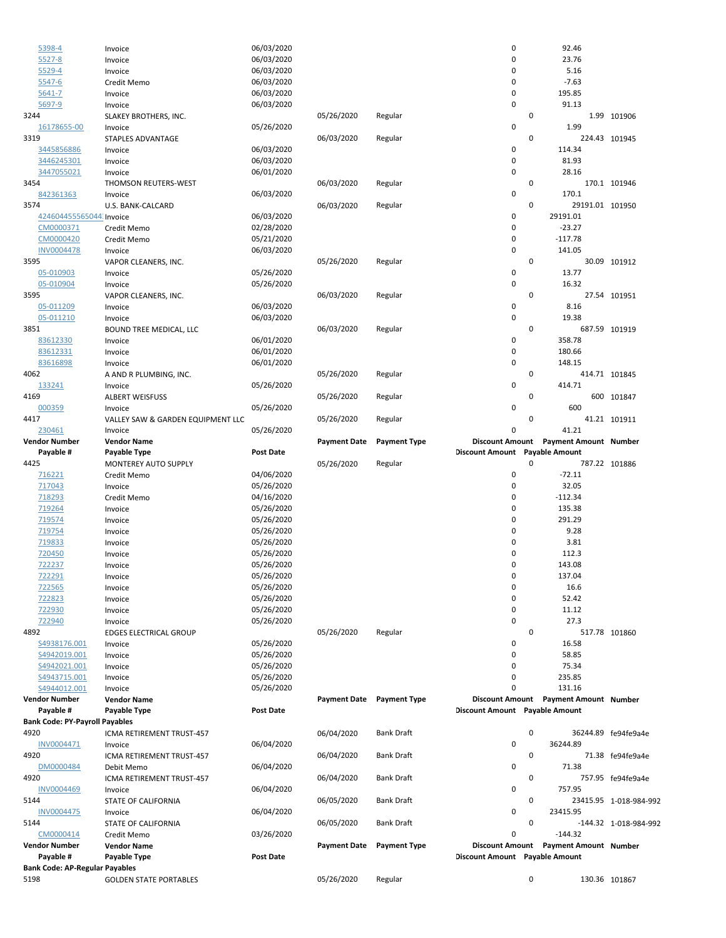|                                      | Payable #<br><b>Bank Code: PY-Payroll Payables</b><br>INV0004471<br>DM0000484<br><b>INV0004469</b><br><b>INV0004475</b><br>CM0000414<br>Vendor Number<br>Payable #<br><b>Bank Code: AP-Regular Payables</b> | Payable Type<br>ICMA RETIREMENT TRUST-457<br>Invoice<br>ICMA RETIREMENT TRUST-457<br>Debit Memo<br>ICMA RETIREMENT TRUST-457<br>Invoice<br>STATE OF CALIFORNIA<br>Invoice<br>STATE OF CALIFORNIA<br>Credit Memo<br><b>Vendor Name</b><br>Payable Type | <b>Post Date</b><br>06/04/2020<br>06/04/2020<br>06/04/2020<br>06/04/2020<br>03/26/2020<br><b>Post Date</b> | 06/04/2020<br>06/04/2020<br>06/04/2020<br>06/05/2020<br>06/05/2020<br><b>Payment Date</b> | <b>Bank Draft</b><br><b>Bank Draft</b><br><b>Bank Draft</b><br><b>Bank Draft</b><br><b>Bank Draft</b><br><b>Payment Type</b> | Discount Amount Payable Amount<br>0<br>0<br>0<br>0<br>0<br>0<br>0<br>0<br>0<br>0<br>Discount Amount Payable Amount | 36244.89<br>71.38<br>757.95<br>23415.95<br>$-144.32$<br>Discount Amount Payment Amount Number | 36244.89 fe94fe9a4e<br>71.38 fe94fe9a4e<br>757.95 fe94fe9a4e<br>23415.95 1-018-984-992<br>-144.32 1-018-984-992 |
|--------------------------------------|-------------------------------------------------------------------------------------------------------------------------------------------------------------------------------------------------------------|-------------------------------------------------------------------------------------------------------------------------------------------------------------------------------------------------------------------------------------------------------|------------------------------------------------------------------------------------------------------------|-------------------------------------------------------------------------------------------|------------------------------------------------------------------------------------------------------------------------------|--------------------------------------------------------------------------------------------------------------------|-----------------------------------------------------------------------------------------------|-----------------------------------------------------------------------------------------------------------------|
| 4920<br>4920<br>4920<br>5144<br>5144 |                                                                                                                                                                                                             |                                                                                                                                                                                                                                                       |                                                                                                            |                                                                                           |                                                                                                                              |                                                                                                                    |                                                                                               |                                                                                                                 |
|                                      |                                                                                                                                                                                                             |                                                                                                                                                                                                                                                       |                                                                                                            |                                                                                           |                                                                                                                              |                                                                                                                    |                                                                                               |                                                                                                                 |
|                                      |                                                                                                                                                                                                             |                                                                                                                                                                                                                                                       |                                                                                                            |                                                                                           |                                                                                                                              |                                                                                                                    |                                                                                               |                                                                                                                 |
|                                      |                                                                                                                                                                                                             |                                                                                                                                                                                                                                                       |                                                                                                            |                                                                                           |                                                                                                                              |                                                                                                                    |                                                                                               |                                                                                                                 |
|                                      |                                                                                                                                                                                                             |                                                                                                                                                                                                                                                       |                                                                                                            |                                                                                           |                                                                                                                              |                                                                                                                    |                                                                                               |                                                                                                                 |
|                                      |                                                                                                                                                                                                             |                                                                                                                                                                                                                                                       |                                                                                                            |                                                                                           |                                                                                                                              |                                                                                                                    |                                                                                               |                                                                                                                 |
|                                      |                                                                                                                                                                                                             |                                                                                                                                                                                                                                                       |                                                                                                            |                                                                                           |                                                                                                                              |                                                                                                                    |                                                                                               |                                                                                                                 |
|                                      |                                                                                                                                                                                                             |                                                                                                                                                                                                                                                       |                                                                                                            |                                                                                           |                                                                                                                              |                                                                                                                    |                                                                                               |                                                                                                                 |
|                                      |                                                                                                                                                                                                             |                                                                                                                                                                                                                                                       |                                                                                                            |                                                                                           |                                                                                                                              |                                                                                                                    |                                                                                               |                                                                                                                 |
|                                      |                                                                                                                                                                                                             |                                                                                                                                                                                                                                                       |                                                                                                            |                                                                                           |                                                                                                                              |                                                                                                                    |                                                                                               |                                                                                                                 |
|                                      |                                                                                                                                                                                                             |                                                                                                                                                                                                                                                       |                                                                                                            |                                                                                           |                                                                                                                              |                                                                                                                    |                                                                                               |                                                                                                                 |
|                                      |                                                                                                                                                                                                             |                                                                                                                                                                                                                                                       |                                                                                                            |                                                                                           |                                                                                                                              |                                                                                                                    |                                                                                               |                                                                                                                 |
|                                      |                                                                                                                                                                                                             |                                                                                                                                                                                                                                                       |                                                                                                            |                                                                                           |                                                                                                                              |                                                                                                                    |                                                                                               |                                                                                                                 |
|                                      |                                                                                                                                                                                                             |                                                                                                                                                                                                                                                       |                                                                                                            |                                                                                           |                                                                                                                              |                                                                                                                    |                                                                                               |                                                                                                                 |
|                                      | Vendor Number                                                                                                                                                                                               | <b>Vendor Name</b>                                                                                                                                                                                                                                    |                                                                                                            | Payment Date Payment Type                                                                 |                                                                                                                              |                                                                                                                    | Discount Amount Payment Amount Number                                                         |                                                                                                                 |
|                                      | S4944012.001                                                                                                                                                                                                | Invoice                                                                                                                                                                                                                                               | 05/26/2020                                                                                                 |                                                                                           |                                                                                                                              | 0                                                                                                                  | 131.16                                                                                        |                                                                                                                 |
|                                      | S4943715.001                                                                                                                                                                                                | Invoice                                                                                                                                                                                                                                               | 05/26/2020                                                                                                 |                                                                                           |                                                                                                                              | 0                                                                                                                  | 235.85                                                                                        |                                                                                                                 |
|                                      | S4942021.001                                                                                                                                                                                                | Invoice                                                                                                                                                                                                                                               | 05/26/2020                                                                                                 |                                                                                           |                                                                                                                              | 0                                                                                                                  | 75.34                                                                                         |                                                                                                                 |
|                                      | S4942019.001                                                                                                                                                                                                | Invoice                                                                                                                                                                                                                                               | 05/26/2020                                                                                                 |                                                                                           |                                                                                                                              | 0                                                                                                                  | 58.85                                                                                         |                                                                                                                 |
|                                      | S4938176.001                                                                                                                                                                                                | Invoice                                                                                                                                                                                                                                               | 05/26/2020                                                                                                 |                                                                                           |                                                                                                                              | 0                                                                                                                  | 16.58                                                                                         |                                                                                                                 |
| 4892                                 |                                                                                                                                                                                                             | <b>EDGES ELECTRICAL GROUP</b>                                                                                                                                                                                                                         |                                                                                                            | 05/26/2020                                                                                | Regular                                                                                                                      | 0                                                                                                                  |                                                                                               | 517.78 101860                                                                                                   |
|                                      | 722940                                                                                                                                                                                                      | Invoice                                                                                                                                                                                                                                               | 05/26/2020                                                                                                 |                                                                                           |                                                                                                                              | 0                                                                                                                  | 27.3                                                                                          |                                                                                                                 |
|                                      | 722930                                                                                                                                                                                                      | Invoice                                                                                                                                                                                                                                               | 05/26/2020                                                                                                 |                                                                                           |                                                                                                                              | 0                                                                                                                  | 11.12                                                                                         |                                                                                                                 |
|                                      |                                                                                                                                                                                                             | Invoice                                                                                                                                                                                                                                               |                                                                                                            |                                                                                           |                                                                                                                              |                                                                                                                    |                                                                                               |                                                                                                                 |
|                                      | 722823                                                                                                                                                                                                      |                                                                                                                                                                                                                                                       | 05/26/2020                                                                                                 |                                                                                           |                                                                                                                              | 0                                                                                                                  | 52.42                                                                                         |                                                                                                                 |
|                                      | 722565                                                                                                                                                                                                      | Invoice                                                                                                                                                                                                                                               | 05/26/2020                                                                                                 |                                                                                           |                                                                                                                              | 0                                                                                                                  | 16.6                                                                                          |                                                                                                                 |
|                                      | 722291                                                                                                                                                                                                      | Invoice                                                                                                                                                                                                                                               | 05/26/2020                                                                                                 |                                                                                           |                                                                                                                              | 0                                                                                                                  | 137.04                                                                                        |                                                                                                                 |
|                                      | 722237                                                                                                                                                                                                      | Invoice                                                                                                                                                                                                                                               | 05/26/2020                                                                                                 |                                                                                           |                                                                                                                              | 0                                                                                                                  | 143.08                                                                                        |                                                                                                                 |
|                                      | 720450                                                                                                                                                                                                      | Invoice                                                                                                                                                                                                                                               | 05/26/2020                                                                                                 |                                                                                           |                                                                                                                              | 0                                                                                                                  | 112.3                                                                                         |                                                                                                                 |
|                                      | 719833                                                                                                                                                                                                      | Invoice                                                                                                                                                                                                                                               | 05/26/2020                                                                                                 |                                                                                           |                                                                                                                              | 0                                                                                                                  | 3.81                                                                                          |                                                                                                                 |
|                                      | 719754                                                                                                                                                                                                      | Invoice                                                                                                                                                                                                                                               | 05/26/2020                                                                                                 |                                                                                           |                                                                                                                              | 0                                                                                                                  | 9.28                                                                                          |                                                                                                                 |
|                                      | 719574                                                                                                                                                                                                      | Invoice                                                                                                                                                                                                                                               | 05/26/2020                                                                                                 |                                                                                           |                                                                                                                              | 0                                                                                                                  | 291.29                                                                                        |                                                                                                                 |
|                                      | 719264                                                                                                                                                                                                      | Invoice                                                                                                                                                                                                                                               | 05/26/2020                                                                                                 |                                                                                           |                                                                                                                              | 0                                                                                                                  | 135.38                                                                                        |                                                                                                                 |
|                                      | 718293                                                                                                                                                                                                      | Credit Memo                                                                                                                                                                                                                                           | 04/16/2020                                                                                                 |                                                                                           |                                                                                                                              | 0                                                                                                                  | $-112.34$                                                                                     |                                                                                                                 |
|                                      | 717043                                                                                                                                                                                                      | Invoice                                                                                                                                                                                                                                               | 05/26/2020                                                                                                 |                                                                                           |                                                                                                                              | 0                                                                                                                  | 32.05                                                                                         |                                                                                                                 |
|                                      | 716221                                                                                                                                                                                                      | Credit Memo                                                                                                                                                                                                                                           | 04/06/2020                                                                                                 |                                                                                           |                                                                                                                              | 0                                                                                                                  | $-72.11$                                                                                      |                                                                                                                 |
| 4425                                 |                                                                                                                                                                                                             | MONTEREY AUTO SUPPLY                                                                                                                                                                                                                                  |                                                                                                            | 05/26/2020                                                                                | Regular                                                                                                                      | 0                                                                                                                  |                                                                                               | 787.22 101886                                                                                                   |
|                                      | Payable #                                                                                                                                                                                                   | Payable Type                                                                                                                                                                                                                                          | <b>Post Date</b>                                                                                           |                                                                                           |                                                                                                                              | Discount Amount Payable Amount                                                                                     |                                                                                               |                                                                                                                 |
|                                      | Vendor Number                                                                                                                                                                                               | <b>Vendor Name</b>                                                                                                                                                                                                                                    |                                                                                                            | <b>Payment Date</b>                                                                       | <b>Payment Type</b>                                                                                                          | <b>Discount Amount</b>                                                                                             | <b>Payment Amount Number</b>                                                                  |                                                                                                                 |
|                                      | 230461                                                                                                                                                                                                      | Invoice                                                                                                                                                                                                                                               | 05/26/2020                                                                                                 |                                                                                           |                                                                                                                              | 0                                                                                                                  | 41.21                                                                                         |                                                                                                                 |
| 4417                                 |                                                                                                                                                                                                             | VALLEY SAW & GARDEN EQUIPMENT LLC                                                                                                                                                                                                                     |                                                                                                            | 05/26/2020                                                                                | Regular                                                                                                                      | 0                                                                                                                  |                                                                                               | 41.21 101911                                                                                                    |
|                                      | 000359                                                                                                                                                                                                      | Invoice                                                                                                                                                                                                                                               | 05/26/2020                                                                                                 |                                                                                           |                                                                                                                              | 0                                                                                                                  | 600                                                                                           |                                                                                                                 |
| 4169                                 |                                                                                                                                                                                                             | <b>ALBERT WEISFUSS</b>                                                                                                                                                                                                                                |                                                                                                            | 05/26/2020                                                                                | Regular                                                                                                                      | 0                                                                                                                  |                                                                                               | 600 101847                                                                                                      |
|                                      | 133241                                                                                                                                                                                                      | Invoice                                                                                                                                                                                                                                               | 05/26/2020                                                                                                 |                                                                                           |                                                                                                                              | 0                                                                                                                  | 414.71                                                                                        |                                                                                                                 |
| 4062                                 |                                                                                                                                                                                                             | A AND R PLUMBING, INC.                                                                                                                                                                                                                                |                                                                                                            | 05/26/2020                                                                                | Regular                                                                                                                      | 0                                                                                                                  |                                                                                               | 414.71 101845                                                                                                   |
|                                      | 83616898                                                                                                                                                                                                    | Invoice                                                                                                                                                                                                                                               | 06/01/2020                                                                                                 |                                                                                           |                                                                                                                              | 0                                                                                                                  | 148.15                                                                                        |                                                                                                                 |
|                                      | 83612331                                                                                                                                                                                                    | Invoice                                                                                                                                                                                                                                               | 06/01/2020                                                                                                 |                                                                                           |                                                                                                                              | 0                                                                                                                  | 180.66                                                                                        |                                                                                                                 |
|                                      | 83612330                                                                                                                                                                                                    | Invoice                                                                                                                                                                                                                                               | 06/01/2020                                                                                                 |                                                                                           |                                                                                                                              | 0                                                                                                                  | 358.78                                                                                        |                                                                                                                 |
| 3851                                 |                                                                                                                                                                                                             | BOUND TREE MEDICAL, LLC                                                                                                                                                                                                                               |                                                                                                            | 06/03/2020                                                                                | Regular                                                                                                                      | 0                                                                                                                  |                                                                                               | 687.59 101919                                                                                                   |
|                                      | 05-011210                                                                                                                                                                                                   | Invoice                                                                                                                                                                                                                                               | 06/03/2020                                                                                                 |                                                                                           |                                                                                                                              | 0                                                                                                                  | 19.38                                                                                         |                                                                                                                 |
|                                      | 05-011209                                                                                                                                                                                                   | Invoice                                                                                                                                                                                                                                               | 06/03/2020                                                                                                 |                                                                                           |                                                                                                                              | 0                                                                                                                  | 8.16                                                                                          |                                                                                                                 |
| 3595                                 |                                                                                                                                                                                                             | VAPOR CLEANERS, INC.                                                                                                                                                                                                                                  |                                                                                                            | 06/03/2020                                                                                | Regular                                                                                                                      | 0                                                                                                                  |                                                                                               | 27.54 101951                                                                                                    |
|                                      | 05-010904                                                                                                                                                                                                   | Invoice                                                                                                                                                                                                                                               | 05/26/2020                                                                                                 |                                                                                           |                                                                                                                              | 0                                                                                                                  | 16.32                                                                                         |                                                                                                                 |
|                                      | 05-010903                                                                                                                                                                                                   | Invoice                                                                                                                                                                                                                                               | 05/26/2020                                                                                                 |                                                                                           |                                                                                                                              | $\mathbf 0$                                                                                                        | 13.77                                                                                         |                                                                                                                 |
| 3595                                 |                                                                                                                                                                                                             | VAPOR CLEANERS, INC.                                                                                                                                                                                                                                  |                                                                                                            | 05/26/2020                                                                                | Regular                                                                                                                      | 0                                                                                                                  |                                                                                               | 30.09 101912                                                                                                    |
|                                      | <b>INV0004478</b>                                                                                                                                                                                           | Invoice                                                                                                                                                                                                                                               | 06/03/2020                                                                                                 |                                                                                           |                                                                                                                              | 0                                                                                                                  | 141.05                                                                                        |                                                                                                                 |
|                                      | CM0000420                                                                                                                                                                                                   | Credit Memo                                                                                                                                                                                                                                           | 05/21/2020                                                                                                 |                                                                                           |                                                                                                                              | 0                                                                                                                  | $-117.78$                                                                                     |                                                                                                                 |
|                                      | CM0000371                                                                                                                                                                                                   | Credit Memo                                                                                                                                                                                                                                           | 02/28/2020                                                                                                 |                                                                                           |                                                                                                                              | 0                                                                                                                  | $-23.27$                                                                                      |                                                                                                                 |
|                                      | 424604455565044. Invoice                                                                                                                                                                                    |                                                                                                                                                                                                                                                       | 06/03/2020                                                                                                 |                                                                                           |                                                                                                                              | 0                                                                                                                  | 29191.01                                                                                      |                                                                                                                 |
| 3574                                 |                                                                                                                                                                                                             | U.S. BANK-CALCARD                                                                                                                                                                                                                                     |                                                                                                            | 06/03/2020                                                                                | Regular                                                                                                                      | 0                                                                                                                  | 29191.01 101950                                                                               |                                                                                                                 |
|                                      | 842361363                                                                                                                                                                                                   | Invoice                                                                                                                                                                                                                                               | 06/03/2020                                                                                                 |                                                                                           |                                                                                                                              | 0                                                                                                                  | 170.1                                                                                         |                                                                                                                 |
| 3454                                 |                                                                                                                                                                                                             | THOMSON REUTERS-WEST                                                                                                                                                                                                                                  |                                                                                                            | 06/03/2020                                                                                | Regular                                                                                                                      | 0                                                                                                                  |                                                                                               | 170.1 101946                                                                                                    |
|                                      | 3447055021                                                                                                                                                                                                  | Invoice                                                                                                                                                                                                                                               | 06/01/2020                                                                                                 |                                                                                           |                                                                                                                              | 0                                                                                                                  | 28.16                                                                                         |                                                                                                                 |
|                                      | 3446245301                                                                                                                                                                                                  | Invoice                                                                                                                                                                                                                                               | 06/03/2020                                                                                                 |                                                                                           |                                                                                                                              | 0                                                                                                                  | 81.93                                                                                         |                                                                                                                 |
|                                      | 3445856886                                                                                                                                                                                                  | Invoice                                                                                                                                                                                                                                               | 06/03/2020                                                                                                 |                                                                                           |                                                                                                                              | 0                                                                                                                  | 114.34                                                                                        |                                                                                                                 |
| 3319                                 |                                                                                                                                                                                                             | STAPLES ADVANTAGE                                                                                                                                                                                                                                     |                                                                                                            | 06/03/2020                                                                                | Regular                                                                                                                      | 0                                                                                                                  |                                                                                               | 224.43 101945                                                                                                   |
|                                      | 16178655-00                                                                                                                                                                                                 | Invoice                                                                                                                                                                                                                                               | 05/26/2020                                                                                                 |                                                                                           |                                                                                                                              | $\pmb{0}$                                                                                                          | 1.99                                                                                          |                                                                                                                 |
| 3244                                 |                                                                                                                                                                                                             | SLAKEY BROTHERS, INC.                                                                                                                                                                                                                                 |                                                                                                            | 05/26/2020                                                                                | Regular                                                                                                                      | 0                                                                                                                  |                                                                                               | 1.99 101906                                                                                                     |
|                                      | 5697-9                                                                                                                                                                                                      | Invoice                                                                                                                                                                                                                                               | 06/03/2020                                                                                                 |                                                                                           |                                                                                                                              | 0                                                                                                                  | 91.13                                                                                         |                                                                                                                 |
|                                      | 5641-7                                                                                                                                                                                                      | Invoice                                                                                                                                                                                                                                               | 06/03/2020                                                                                                 |                                                                                           |                                                                                                                              | 0                                                                                                                  | 195.85                                                                                        |                                                                                                                 |
|                                      | 5547-6                                                                                                                                                                                                      | Credit Memo                                                                                                                                                                                                                                           | 06/03/2020                                                                                                 |                                                                                           |                                                                                                                              | 0                                                                                                                  | $-7.63$                                                                                       |                                                                                                                 |
|                                      | 5529-4                                                                                                                                                                                                      | Invoice                                                                                                                                                                                                                                               | 06/03/2020                                                                                                 |                                                                                           |                                                                                                                              | 0                                                                                                                  | 5.16                                                                                          |                                                                                                                 |
|                                      | $5527 - 8$                                                                                                                                                                                                  | Invoice                                                                                                                                                                                                                                               | 06/03/2020<br>06/03/2020                                                                                   |                                                                                           |                                                                                                                              | 0                                                                                                                  | 23.76                                                                                         |                                                                                                                 |
|                                      | 5398-4                                                                                                                                                                                                      | Invoice                                                                                                                                                                                                                                               |                                                                                                            |                                                                                           |                                                                                                                              | 0                                                                                                                  | 92.46                                                                                         |                                                                                                                 |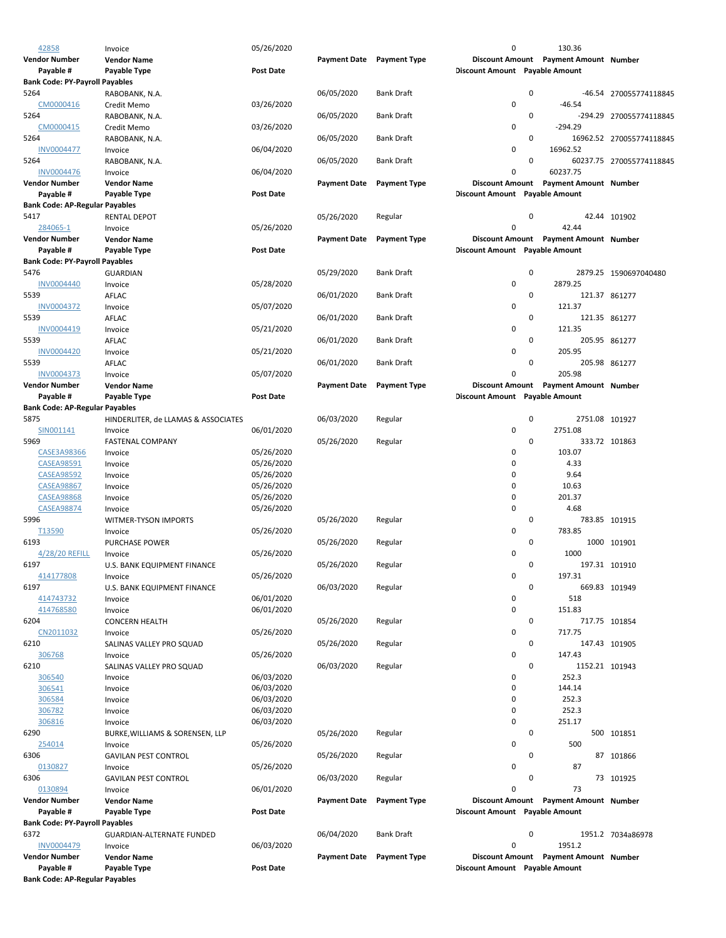| 42858                                 | Invoice                             | 05/26/2020       |                           |                     | 0                              |   | 130.36                                |                          |
|---------------------------------------|-------------------------------------|------------------|---------------------------|---------------------|--------------------------------|---|---------------------------------------|--------------------------|
| <b>Vendor Number</b>                  | <b>Vendor Name</b>                  |                  | Payment Date Payment Type |                     |                                |   | Discount Amount Payment Amount Number |                          |
| Payable #                             | Payable Type                        | <b>Post Date</b> |                           |                     | Discount Amount Payable Amount |   |                                       |                          |
| <b>Bank Code: PY-Payroll Payables</b> |                                     |                  |                           |                     |                                |   |                                       |                          |
| 5264                                  | RABOBANK, N.A.                      |                  | 06/05/2020                | <b>Bank Draft</b>   |                                | 0 |                                       | -46.54 270055774118845   |
| CM0000416                             | Credit Memo                         | 03/26/2020       |                           |                     | 0                              |   | $-46.54$                              |                          |
| 5264                                  | RABOBANK, N.A.                      |                  | 06/05/2020                | <b>Bank Draft</b>   |                                | 0 |                                       | -294.29 270055774118845  |
| CM0000415                             | Credit Memo                         | 03/26/2020       |                           |                     | 0                              |   | $-294.29$                             |                          |
| 5264                                  | RABOBANK, N.A.                      |                  | 06/05/2020                | <b>Bank Draft</b>   |                                | 0 |                                       | 16962.52 270055774118845 |
| <b>INV0004477</b>                     |                                     | 06/04/2020       |                           |                     | 0                              |   | 16962.52                              |                          |
|                                       | Invoice                             |                  |                           |                     |                                |   |                                       |                          |
| 5264                                  | RABOBANK, N.A.                      |                  | 06/05/2020                | <b>Bank Draft</b>   |                                | 0 |                                       | 60237.75 270055774118845 |
| <b>INV0004476</b>                     | Invoice                             | 06/04/2020       |                           |                     | 0                              |   | 60237.75                              |                          |
| <b>Vendor Number</b>                  | <b>Vendor Name</b>                  |                  | <b>Payment Date</b>       | <b>Payment Type</b> |                                |   | Discount Amount Payment Amount Number |                          |
| Payable #                             | Payable Type                        | Post Date        |                           |                     | Discount Amount Payable Amount |   |                                       |                          |
| <b>Bank Code: AP-Regular Payables</b> |                                     |                  |                           |                     |                                |   |                                       |                          |
| 5417                                  | RENTAL DEPOT                        |                  | 05/26/2020                | Regular             |                                | 0 |                                       | 42.44 101902             |
| 284065-1                              | Invoice                             | 05/26/2020       |                           |                     | 0                              |   | 42.44                                 |                          |
| <b>Vendor Number</b>                  | <b>Vendor Name</b>                  |                  | <b>Payment Date</b>       | <b>Payment Type</b> |                                |   | Discount Amount Payment Amount Number |                          |
| Payable #                             | Payable Type                        | <b>Post Date</b> |                           |                     | Discount Amount Payable Amount |   |                                       |                          |
| <b>Bank Code: PY-Payroll Payables</b> |                                     |                  |                           |                     |                                |   |                                       |                          |
| 5476                                  |                                     |                  |                           | <b>Bank Draft</b>   |                                | 0 |                                       |                          |
|                                       | <b>GUARDIAN</b>                     |                  | 05/29/2020                |                     |                                |   |                                       | 2879.25 1590697040480    |
| <b>INV0004440</b>                     | Invoice                             | 05/28/2020       |                           |                     | 0                              |   | 2879.25                               |                          |
| 5539                                  | AFLAC                               |                  | 06/01/2020                | <b>Bank Draft</b>   |                                | 0 |                                       | 121.37 861277            |
| <b>INV0004372</b>                     | Invoice                             | 05/07/2020       |                           |                     | 0                              |   | 121.37                                |                          |
| 5539                                  | AFLAC                               |                  | 06/01/2020                | <b>Bank Draft</b>   |                                | 0 |                                       | 121.35 861277            |
| INV0004419                            | Invoice                             | 05/21/2020       |                           |                     | 0                              |   | 121.35                                |                          |
| 5539                                  | AFLAC                               |                  | 06/01/2020                | <b>Bank Draft</b>   |                                | 0 |                                       | 205.95 861277            |
| INV0004420                            | Invoice                             | 05/21/2020       |                           |                     | 0                              |   | 205.95                                |                          |
| 5539                                  | AFLAC                               |                  | 06/01/2020                | <b>Bank Draft</b>   |                                | 0 |                                       | 205.98 861277            |
| <b>INV0004373</b>                     | Invoice                             | 05/07/2020       |                           |                     | 0                              |   | 205.98                                |                          |
|                                       |                                     |                  |                           | <b>Payment Type</b> |                                |   | Discount Amount Payment Amount Number |                          |
| <b>Vendor Number</b>                  | <b>Vendor Name</b>                  |                  | <b>Payment Date</b>       |                     |                                |   |                                       |                          |
| Payable #                             | Payable Type                        | <b>Post Date</b> |                           |                     | Discount Amount Payable Amount |   |                                       |                          |
| <b>Bank Code: AP-Regular Payables</b> |                                     |                  |                           |                     |                                |   |                                       |                          |
| 5875                                  | HINDERLITER, de LLAMAS & ASSOCIATES |                  | 06/03/2020                | Regular             |                                | 0 | 2751.08 101927                        |                          |
| SIN001141                             | Invoice                             | 06/01/2020       |                           |                     | 0                              |   | 2751.08                               |                          |
| 5969                                  | <b>FASTENAL COMPANY</b>             |                  | 05/26/2020                | Regular             |                                | 0 |                                       | 333.72 101863            |
| CASE3A98366                           | Invoice                             | 05/26/2020       |                           |                     | 0                              |   | 103.07                                |                          |
| <b>CASEA98591</b>                     | Invoice                             | 05/26/2020       |                           |                     | 0                              |   | 4.33                                  |                          |
| <b>CASEA98592</b>                     | Invoice                             | 05/26/2020       |                           |                     | 0                              |   | 9.64                                  |                          |
| <b>CASEA98867</b>                     |                                     |                  |                           |                     | 0                              |   | 10.63                                 |                          |
|                                       | Invoice                             | 05/26/2020       |                           |                     |                                |   |                                       |                          |
| <b>CASEA98868</b>                     | Invoice                             | 05/26/2020       |                           |                     | 0                              |   | 201.37                                |                          |
| <b>CASEA98874</b>                     | Invoice                             | 05/26/2020       |                           |                     | 0                              |   | 4.68                                  |                          |
| 5996                                  | WITMER-TYSON IMPORTS                |                  | 05/26/2020                | Regular             |                                | 0 |                                       | 783.85 101915            |
| T13590                                | Invoice                             | 05/26/2020       |                           |                     | 0                              |   | 783.85                                |                          |
| 6193                                  | PURCHASE POWER                      |                  | 05/26/2020                | Regular             |                                | 0 |                                       | 1000 101901              |
| 4/28/20 REFILL                        | Invoice                             | 05/26/2020       |                           |                     | 0                              |   | 1000                                  |                          |
| 6197                                  | U.S. BANK EQUIPMENT FINANCE         |                  | 05/26/2020                | Regular             |                                | 0 |                                       | 197.31 101910            |
| 414177808                             |                                     | 05/26/2020       |                           |                     | 0                              |   | 197.31                                |                          |
| 6197                                  | U.S. BANK EQUIPMENT FINANCE         |                  | 06/03/2020                | Regular             |                                | 0 |                                       | 669.83 101949            |
| 414743732                             |                                     | 06/01/2020       |                           |                     | 0                              |   | 518                                   |                          |
|                                       | Invoice                             |                  |                           |                     |                                |   |                                       |                          |
| 414768580                             | Invoice                             | 06/01/2020       |                           |                     | 0                              |   | 151.83                                |                          |
| 6204                                  | <b>CONCERN HEALTH</b>               |                  | 05/26/2020                | Regular             |                                | 0 |                                       | 717.75 101854            |
| CN2011032                             | Invoice                             | 05/26/2020       |                           |                     | 0                              |   | 717.75                                |                          |
| 6210                                  | SALINAS VALLEY PRO SQUAD            |                  | 05/26/2020                | Regular             |                                | 0 |                                       | 147.43 101905            |
| 306768                                | Invoice                             | 05/26/2020       |                           |                     | 0                              |   | 147.43                                |                          |
| 6210                                  | SALINAS VALLEY PRO SQUAD            |                  | 06/03/2020                | Regular             |                                | 0 | 1152.21 101943                        |                          |
| 306540                                | Invoice                             | 06/03/2020       |                           |                     | 0                              |   | 252.3                                 |                          |
| 306541                                | Invoice                             | 06/03/2020       |                           |                     | 0                              |   | 144.14                                |                          |
| 306584                                | Invoice                             | 06/03/2020       |                           |                     | 0                              |   | 252.3                                 |                          |
| 306782                                | Invoice                             | 06/03/2020       |                           |                     | 0                              |   | 252.3                                 |                          |
| 306816                                |                                     |                  |                           |                     | 0                              |   | 251.17                                |                          |
|                                       | Invoice                             | 06/03/2020       |                           |                     |                                |   |                                       |                          |
| 6290                                  | BURKE, WILLIAMS & SORENSEN, LLP     |                  | 05/26/2020                | Regular             |                                | 0 |                                       | 500 101851               |
| 254014                                | Invoice                             | 05/26/2020       |                           |                     | 0                              |   | 500                                   |                          |
| 6306                                  | <b>GAVILAN PEST CONTROL</b>         |                  | 05/26/2020                | Regular             |                                | 0 |                                       | 87 101866                |
| 0130827                               | Invoice                             | 05/26/2020       |                           |                     | 0                              |   | 87                                    |                          |
| 6306                                  | <b>GAVILAN PEST CONTROL</b>         |                  | 06/03/2020                | Regular             |                                | 0 |                                       | 73 101925                |
| 0130894                               | Invoice                             | 06/01/2020       |                           |                     | 0                              |   | 73                                    |                          |
| <b>Vendor Number</b>                  | <b>Vendor Name</b>                  |                  | <b>Payment Date</b>       | <b>Payment Type</b> |                                |   | Discount Amount Payment Amount Number |                          |
| Payable #                             | Payable Type                        | <b>Post Date</b> |                           |                     | Discount Amount Payable Amount |   |                                       |                          |
| <b>Bank Code: PY-Payroll Payables</b> |                                     |                  |                           |                     |                                |   |                                       |                          |
| 6372                                  |                                     |                  |                           | <b>Bank Draft</b>   |                                | 0 |                                       |                          |
|                                       | <b>GUARDIAN-ALTERNATE FUNDED</b>    |                  | 06/04/2020                |                     |                                |   |                                       | 1951.2 7034a86978        |
| <b>INV0004479</b>                     | Invoice                             | 06/03/2020       |                           |                     | 0                              |   | 1951.2                                |                          |
| <b>Vendor Number</b>                  | <b>Vendor Name</b>                  |                  | <b>Payment Date</b>       | <b>Payment Type</b> | <b>Discount Amount</b>         |   | <b>Payment Amount Number</b>          |                          |
| Payable #                             | Payable Type                        | <b>Post Date</b> |                           |                     | Discount Amount Payable Amount |   |                                       |                          |
| <b>Bank Code: AP-Regular Payables</b> |                                     |                  |                           |                     |                                |   |                                       |                          |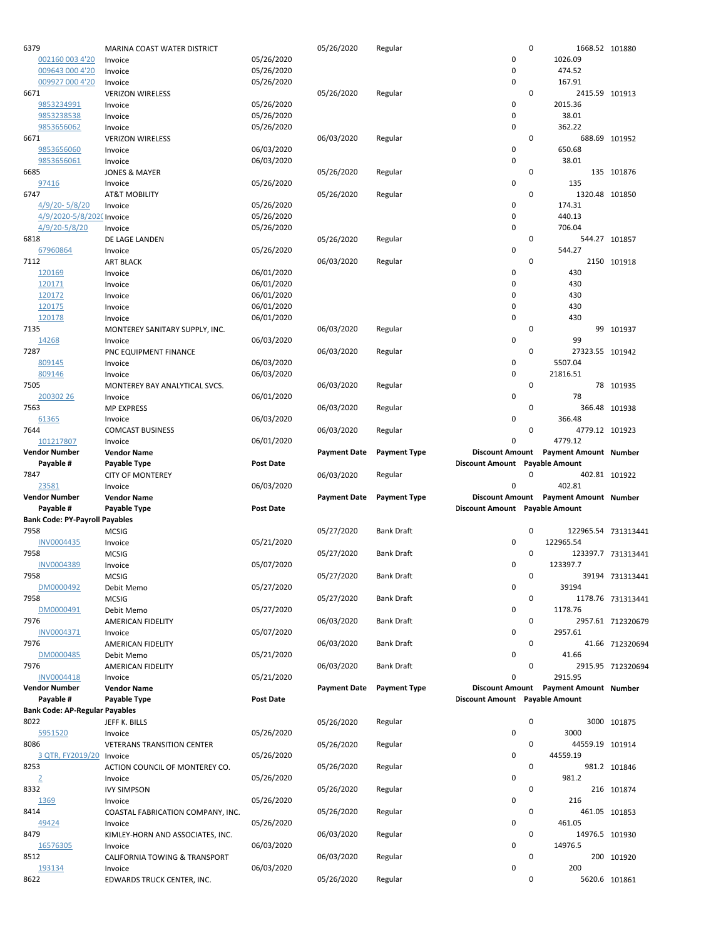| 6379                                  | MARINA COAST WATER DISTRICT              |                  | 05/26/2020          | Regular             |                                | $\mathbf 0$ | 1668.52 101880                        |                     |
|---------------------------------------|------------------------------------------|------------------|---------------------|---------------------|--------------------------------|-------------|---------------------------------------|---------------------|
| 002160 003 4'20                       | Invoice                                  | 05/26/2020       |                     |                     | 0                              |             | 1026.09                               |                     |
| 009643 000 4'20                       | Invoice                                  | 05/26/2020       |                     |                     | $\mathbf 0$                    |             | 474.52                                |                     |
| 009927 000 4'20                       | Invoice                                  | 05/26/2020       |                     |                     | 0                              |             | 167.91                                |                     |
| 6671                                  | <b>VERIZON WIRELESS</b>                  |                  | 05/26/2020          | Regular             |                                | 0           | 2415.59 101913                        |                     |
| 9853234991                            | Invoice                                  | 05/26/2020       |                     |                     | 0                              |             | 2015.36                               |                     |
| 9853238538                            | Invoice                                  | 05/26/2020       |                     |                     | 0                              |             | 38.01                                 |                     |
| 9853656062                            | Invoice                                  | 05/26/2020       |                     |                     | 0                              |             | 362.22                                |                     |
| 6671                                  | <b>VERIZON WIRELESS</b>                  |                  | 06/03/2020          | Regular             |                                | 0           |                                       | 688.69 101952       |
| 9853656060                            | Invoice                                  | 06/03/2020       |                     |                     | $\pmb{0}$                      |             | 650.68                                |                     |
| 9853656061                            | Invoice                                  | 06/03/2020       |                     |                     | $\mathbf 0$                    |             | 38.01                                 |                     |
| 6685                                  | <b>JONES &amp; MAYER</b>                 |                  | 05/26/2020          | Regular             |                                | 0           |                                       | 135 101876          |
| 97416                                 | Invoice                                  | 05/26/2020       |                     |                     | $\mathbf 0$                    |             | 135                                   |                     |
| 6747                                  | <b>AT&amp;T MOBILITY</b>                 |                  | 05/26/2020          | Regular             |                                | 0           | 1320.48 101850                        |                     |
| 4/9/20-5/8/20                         | Invoice                                  | 05/26/2020       |                     |                     | 0                              |             | 174.31                                |                     |
| 4/9/2020-5/8/2020 Invoice             |                                          | 05/26/2020       |                     |                     | 0                              |             | 440.13                                |                     |
| 4/9/20-5/8/20                         | Invoice                                  | 05/26/2020       |                     |                     | $\mathbf 0$                    |             | 706.04                                |                     |
| 6818                                  | DE LAGE LANDEN                           |                  | 05/26/2020          | Regular             |                                | 0           |                                       | 544.27 101857       |
| 67960864                              | Invoice                                  | 05/26/2020       |                     |                     | 0                              |             | 544.27                                |                     |
| 7112                                  | <b>ART BLACK</b>                         |                  | 06/03/2020          | Regular             |                                | 0           |                                       | 2150 101918         |
| 120169                                | Invoice                                  | 06/01/2020       |                     |                     | 0                              |             | 430                                   |                     |
| 120171                                | Invoice                                  | 06/01/2020       |                     |                     | $\mathbf 0$                    |             | 430                                   |                     |
| 120172                                | Invoice                                  | 06/01/2020       |                     |                     | 0                              |             | 430                                   |                     |
| 120175                                | Invoice                                  | 06/01/2020       |                     |                     | 0                              |             | 430                                   |                     |
| 120178                                | Invoice                                  | 06/01/2020       |                     |                     | 0                              |             | 430                                   |                     |
| 7135                                  | MONTEREY SANITARY SUPPLY, INC.           |                  | 06/03/2020          | Regular             |                                | 0           |                                       | 99 101937           |
| 14268                                 | Invoice                                  | 06/03/2020       |                     |                     | 0                              |             | 99                                    |                     |
| 7287                                  | PNC EQUIPMENT FINANCE                    |                  | 06/03/2020          | Regular             |                                | 0           | 27323.55 101942                       |                     |
| 809145                                | Invoice                                  | 06/03/2020       |                     |                     | 0                              |             | 5507.04                               |                     |
| 809146                                | Invoice                                  | 06/03/2020       |                     |                     | $\mathbf 0$                    |             | 21816.51                              |                     |
| 7505                                  | MONTEREY BAY ANALYTICAL SVCS.            |                  | 06/03/2020          | Regular             |                                | 0           |                                       | 78 101935           |
| 200302 26                             | Invoice                                  | 06/01/2020       |                     |                     | 0                              |             | 78                                    |                     |
| 7563                                  | <b>MP EXPRESS</b>                        |                  | 06/03/2020          | Regular             |                                | 0           |                                       | 366.48 101938       |
| 61365                                 | Invoice                                  | 06/03/2020       |                     |                     | 0                              |             | 366.48                                |                     |
| 7644                                  | <b>COMCAST BUSINESS</b>                  |                  | 06/03/2020          | Regular             |                                | 0           | 4779.12 101923                        |                     |
| 101217807                             | Invoice                                  | 06/01/2020       |                     |                     | 0                              |             | 4779.12                               |                     |
| <b>Vendor Number</b>                  | <b>Vendor Name</b>                       |                  | <b>Payment Date</b> | <b>Payment Type</b> | <b>Discount Amount</b>         |             | Payment Amount Number                 |                     |
|                                       |                                          |                  |                     |                     |                                |             |                                       |                     |
| Payable #                             | Payable Type                             | <b>Post Date</b> |                     |                     | Discount Amount Payable Amount |             |                                       |                     |
| 7847                                  |                                          |                  | 06/03/2020          |                     |                                | 0           |                                       | 402.81 101922       |
| 23581                                 | <b>CITY OF MONTEREY</b><br>Invoice       | 06/03/2020       |                     | Regular             | 0                              |             | 402.81                                |                     |
| <b>Vendor Number</b>                  | <b>Vendor Name</b>                       |                  | <b>Payment Date</b> | <b>Payment Type</b> |                                |             | Discount Amount Payment Amount Number |                     |
| Payable #                             | Payable Type                             | <b>Post Date</b> |                     |                     | Discount Amount Payable Amount |             |                                       |                     |
| <b>Bank Code: PY-Payroll Payables</b> |                                          |                  |                     |                     |                                |             |                                       |                     |
| 7958                                  | <b>MCSIG</b>                             |                  | 05/27/2020          | Bank Draft          |                                | 0           |                                       | 122965.54 731313441 |
| <b>INV0004435</b>                     |                                          |                  |                     |                     | 0                              |             | 122965.54                             |                     |
| 7958                                  | Invoice<br><b>MCSIG</b>                  | 05/21/2020       | 05/27/2020          | <b>Bank Draft</b>   |                                | 0           |                                       |                     |
| <b>INV0004389</b>                     | Invoice                                  |                  |                     |                     | 0                              |             | 123397.7                              | 123397.7 731313441  |
| 7958                                  | <b>MCSIG</b>                             | 05/07/2020       |                     | <b>Bank Draft</b>   |                                | 0           |                                       | 39194 731313441     |
| DM0000492                             |                                          |                  | 05/27/2020          |                     | 0                              |             | 39194                                 |                     |
| 7958                                  | Debit Memo                               | 05/27/2020       |                     |                     |                                | 0           |                                       |                     |
|                                       | <b>MCSIG</b>                             |                  | 05/27/2020          | <b>Bank Draft</b>   |                                |             | 1178.76                               | 1178.76 731313441   |
| DM0000491<br>7976                     | Debit Memo                               | 05/27/2020       |                     | <b>Bank Draft</b>   | 0                              | 0           |                                       |                     |
| INV0004371                            | AMERICAN FIDELITY                        | 05/07/2020       | 06/03/2020          |                     | 0                              |             | 2957.61                               | 2957.61 712320679   |
| 7976                                  | Invoice<br>AMERICAN FIDELITY             |                  | 06/03/2020          | <b>Bank Draft</b>   |                                | 0           |                                       |                     |
|                                       |                                          |                  |                     |                     |                                |             | 41.66                                 | 41.66 712320694     |
| DM0000485<br>7976                     | Debit Memo                               | 05/21/2020       |                     |                     | 0                              | 0           |                                       |                     |
|                                       | AMERICAN FIDELITY                        |                  | 06/03/2020          | <b>Bank Draft</b>   |                                |             |                                       | 2915.95 712320694   |
| INV0004418                            | Invoice                                  | 05/21/2020       |                     |                     | 0                              |             | 2915.95                               |                     |
| <b>Vendor Number</b>                  | <b>Vendor Name</b>                       |                  | <b>Payment Date</b> | <b>Payment Type</b> |                                |             | Discount Amount Payment Amount Number |                     |
| Payable #                             | Payable Type                             | <b>Post Date</b> |                     |                     | Discount Amount Payable Amount |             |                                       |                     |
| <b>Bank Code: AP-Regular Payables</b> |                                          |                  |                     |                     |                                |             |                                       |                     |
| 8022                                  | JEFF K. BILLS                            |                  | 05/26/2020          | Regular             |                                | $\pmb{0}$   |                                       | 3000 101875         |
| 5951520                               | Invoice                                  | 05/26/2020       |                     |                     | $\pmb{0}$                      |             | 3000                                  |                     |
| 8086                                  | <b>VETERANS TRANSITION CENTER</b>        |                  | 05/26/2020          | Regular             |                                | 0           | 44559.19 101914                       |                     |
| 3 QTR, FY2019/20 Invoice<br>8253      |                                          | 05/26/2020       |                     |                     | 0                              | 0           | 44559.19                              |                     |
|                                       | ACTION COUNCIL OF MONTEREY CO.           |                  | 05/26/2020          | Regular             |                                |             | 981.2                                 | 981.2 101846        |
| $\overline{2}$                        | Invoice                                  | 05/26/2020       |                     |                     | $\pmb{0}$                      | 0           |                                       |                     |
| 8332                                  | <b>IVY SIMPSON</b>                       |                  | 05/26/2020          | Regular             |                                |             |                                       | 216 101874          |
| 1369<br>8414                          | Invoice                                  | 05/26/2020       |                     |                     | $\pmb{0}$                      | 0           | 216                                   |                     |
|                                       | COASTAL FABRICATION COMPANY, INC.        |                  | 05/26/2020          | Regular             |                                |             | 461.05                                | 461.05 101853       |
| 49424<br>8479                         | Invoice                                  | 05/26/2020       |                     |                     | 0                              | 0           |                                       |                     |
|                                       | KIMLEY-HORN AND ASSOCIATES, INC.         |                  | 06/03/2020          | Regular             |                                |             | 14976.5 101930                        |                     |
| 16576305<br>8512                      | Invoice                                  | 06/03/2020       | 06/03/2020          |                     | $\pmb{0}$                      | 0           | 14976.5                               |                     |
| 193134                                | CALIFORNIA TOWING & TRANSPORT<br>Invoice | 06/03/2020       |                     | Regular             | 0                              |             | 200                                   | 200 101920          |